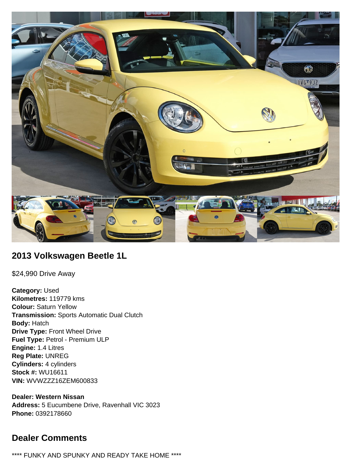

# **2013 Volkswagen Beetle 1L**

\$24,990 Drive Away

**Category:** Used **Kilometres:** 119779 kms **Colour:** Saturn Yellow **Transmission:** Sports Automatic Dual Clutch **Body:** Hatch **Drive Type:** Front Wheel Drive **Fuel Type:** Petrol - Premium ULP **Engine:** 1.4 Litres **Reg Plate:** UNREG **Cylinders:** 4 cylinders **Stock #:** WU16611 **VIN:** WVWZZZ16ZEM600833

**Dealer: Western Nissan Address:** 5 Eucumbene Drive, Ravenhall VIC 3023 **Phone:** 0392178660

# **Dealer Comments**

\*\*\*\* FUNKY AND SPUNKY AND READY TAKE HOME \*\*\*\*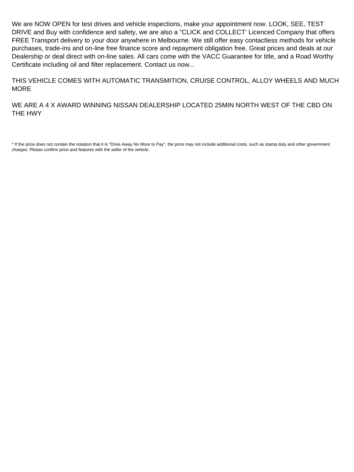We are NOW OPEN for test drives and vehicle inspections, make your appointment now. LOOK, SEE, TEST DRIVE and Buy with confidence and safety, we are also a "CLICK and COLLECT' Licenced Company that offers FREE Transport delivery to your door anywhere in Melbourne. We still offer easy contactless methods for vehicle purchases, trade-ins and on-line free finance score and repayment obligation free. Great prices and deals at our Dealership or deal direct with on-line sales. All cars come with the VACC Guarantee for title, and a Road Worthy Certificate including oil and filter replacement. Contact us now...

THIS VEHICLE COMES WITH AUTOMATIC TRANSMITION, CRUISE CONTROL, ALLOY WHEELS AND MUCH MORE

WE ARE A 4 X AWARD WINNING NISSAN DEALERSHIP LOCATED 25MIN NORTH WEST OF THE CBD ON THE HWY

\* If the price does not contain the notation that it is "Drive Away No More to Pay", the price may not include additional costs, such as stamp duty and other government charges. Please confirm price and features with the seller of the vehicle.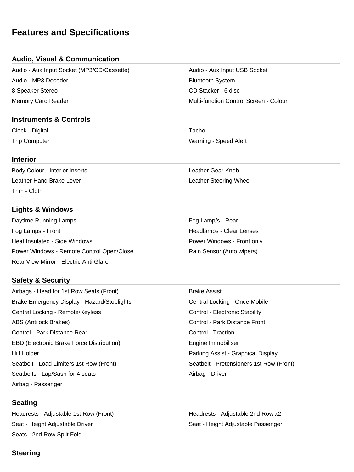# **Features and Specifications**

# **Audio, Visual & Communication**

Audio - Aux Input Socket (MP3/CD/Cassette) Audio - Aux Input USB Socket Audio - MP3 Decoder Bluetooth System 8 Speaker Stereo CD Stacker - 6 disc Memory Card Reader Multi-function Control Screen - Colour

## **Instruments & Controls**

Clock - Digital **Tacho** 

#### **Interior**

Body Colour - Interior Inserts **Leather Collection** Leather Gear Knob Leather Hand Brake Lever Leather Steering Wheel Trim - Cloth

# **Lights & Windows**

Daytime Running Lamps **Fog Lamp's - Rear** Fog Lamp's - Rear Fog Lamps - Front **Headlamps - Clear Lenses** Heat Insulated - Side Windows **Power Windows - Front only** Power Windows - Remote Control Open/Close **Rain Sensor (Auto wipers)** Rear View Mirror - Electric Anti Glare

# **Safety & Security**

Airbags - Head for 1st Row Seats (Front) Brake Assist Brake Emergency Display - Hazard/Stoplights **Central Locking - Once Mobile** Central Locking - Once Mobile Central Locking - Remote/Keyless Control - Electronic Stability ABS (Antilock Brakes) Control - Park Distance Front Control - Park Distance Rear Control - Traction EBD (Electronic Brake Force Distribution) The Summon Engine Immobiliser Hill Holder Parking Assist - Graphical Display Seatbelt - Load Limiters 1st Row (Front) Seatbelt - Pretensioners 1st Row (Front) Seatbelts - Lap/Sash for 4 seats Airbag - Driver Airbag - Passenger

# **Seating**

Headrests - Adjustable 1st Row (Front) Headrests - Adjustable 2nd Row x2 Seat - Height Adjustable Driver Seat - Height Adjustable Passenger Seats - 2nd Row Split Fold

Trip Computer Warning - Speed Alert

# **Steering**